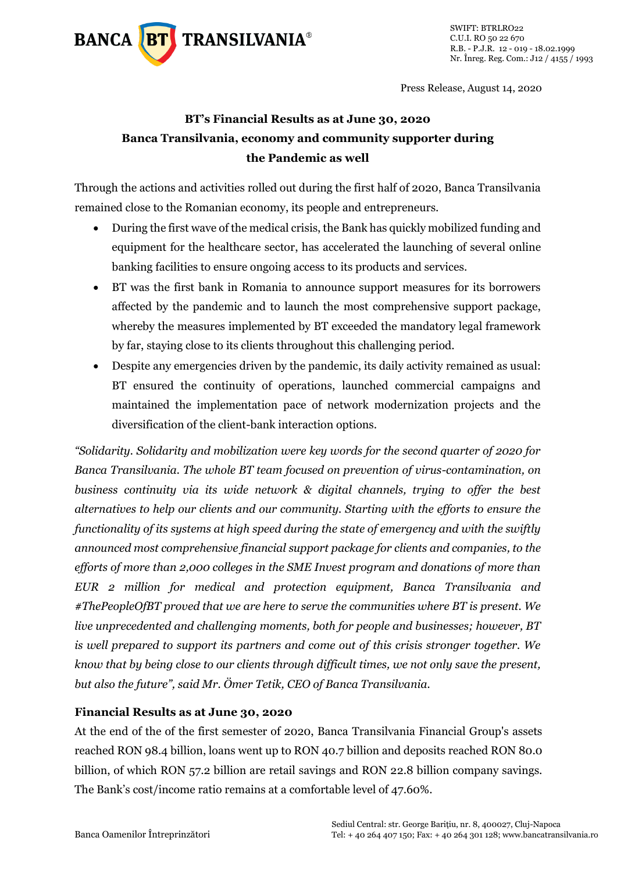

Press Release, August 14, 2020

## **BT's Financial Results as at June 30, 2020 Banca Transilvania, economy and community supporter during the Pandemic as well**

Through the actions and activities rolled out during the first half of 2020, Banca Transilvania remained close to the Romanian economy, its people and entrepreneurs.

- During the first wave of the medical crisis, the Bank has quickly mobilized funding and equipment for the healthcare sector, has accelerated the launching of several online banking facilities to ensure ongoing access to its products and services.
- BT was the first bank in Romania to announce support measures for its borrowers affected by the pandemic and to launch the most comprehensive support package, whereby the measures implemented by BT exceeded the mandatory legal framework by far, staying close to its clients throughout this challenging period.
- Despite any emergencies driven by the pandemic, its daily activity remained as usual: BT ensured the continuity of operations, launched commercial campaigns and maintained the implementation pace of network modernization projects and the diversification of the client-bank interaction options.

*"Solidarity. Solidarity and mobilization were key words for the second quarter of 2020 for Banca Transilvania. The whole BT team focused on prevention of virus-contamination, on business continuity via its wide network & digital channels, trying to offer the best alternatives to help our clients and our community. Starting with the efforts to ensure the functionality of its systems at high speed during the state of emergency and with the swiftly announced most comprehensive financial support package for clients and companies, to the efforts of more than 2,000 colleges in the SME Invest program and donations of more than EUR 2 million for medical and protection equipment, Banca Transilvania and #ThePeopleOfBT proved that we are here to serve the communities where BT is present. We live unprecedented and challenging moments, both for people and businesses; however, BT is well prepared to support its partners and come out of this crisis stronger together. We know that by being close to our clients through difficult times, we not only save the present, but also the future", said Mr. Ömer Tetik, CEO of Banca Transilvania.*

#### **Financial Results as at June 30, 2020**

At the end of the of the first semester of 2020, Banca Transilvania Financial Group's assets reached RON 98.4 billion, loans went up to RON 40.7 billion and deposits reached RON 80.0 billion, of which RON 57.2 billion are retail savings and RON 22.8 billion company savings. The Bank's cost/income ratio remains at a comfortable level of 47.60%.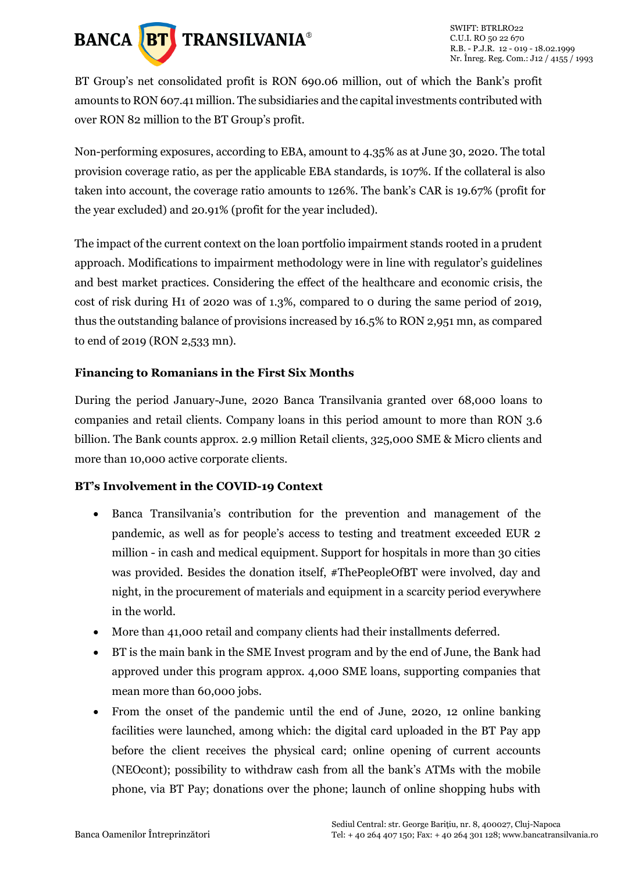

BT Group's net consolidated profit is RON 690.06 million, out of which the Bank's profit amounts to RON 607.41 million. The subsidiaries and the capital investments contributed with over RON 82 million to the BT Group's profit.

Non-performing exposures, according to EBA, amount to 4.35% as at June 30, 2020. The total provision coverage ratio, as per the applicable EBA standards, is 107%. If the collateral is also taken into account, the coverage ratio amounts to 126%. The bank's CAR is 19.67% (profit for the year excluded) and 20.91% (profit for the year included).

The impact of the current context on the loan portfolio impairment stands rooted in a prudent approach. Modifications to impairment methodology were in line with regulator's guidelines and best market practices. Considering the effect of the healthcare and economic crisis, the cost of risk during H1 of 2020 was of 1.3%, compared to 0 during the same period of 2019, thus the outstanding balance of provisions increased by 16.5% to RON 2,951 mn, as compared to end of 2019 (RON 2,533 mn).

#### **Financing to Romanians in the First Six Months**

During the period January-June, 2020 Banca Transilvania granted over 68,000 loans to companies and retail clients. Company loans in this period amount to more than RON 3.6 billion. The Bank counts approx. 2.9 million Retail clients, 325,000 SME & Micro clients and more than 10,000 active corporate clients.

#### **BT's Involvement in the COVID-19 Context**

- Banca Transilvania's contribution for the prevention and management of the pandemic, as well as for people's access to testing and treatment exceeded EUR 2 million - in cash and medical equipment. Support for hospitals in more than 30 cities was provided. Besides the donation itself, #ThePeopleOfBT were involved, day and night, in the procurement of materials and equipment in a scarcity period everywhere in the world.
- More than 41,000 retail and company clients had their installments deferred.
- BT is the main bank in the SME Invest program and by the end of June, the Bank had approved under this program approx. 4,000 SME loans, supporting companies that mean more than 60,000 jobs.
- From the onset of the pandemic until the end of June, 2020, 12 online banking facilities were launched, among which: the digital card uploaded in the BT Pay app before the client receives the physical card; online opening of current accounts (NEOcont); possibility to withdraw cash from all the bank's ATMs with the mobile phone, via BT Pay; donations over the phone; launch of online shopping hubs with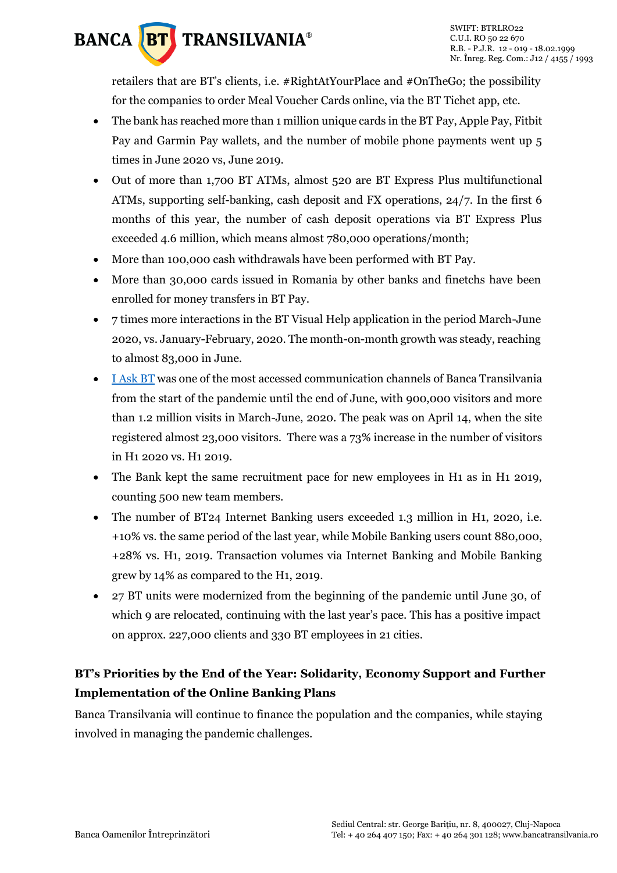# **BANCA BT** TRANSILVANIA®

retailers that are BT's clients, i.e. #RightAtYourPlace and #OnTheGo; the possibility for the companies to order Meal Voucher Cards online, via the BT Tichet app, etc.

- The bank has reached more than 1 million unique cards in the BT Pay, Apple Pay, Fitbit Pay and Garmin Pay wallets, and the number of mobile phone payments went up 5 times in June 2020 vs, June 2019.
- Out of more than 1,700 BT ATMs, almost 520 are BT Express Plus multifunctional ATMs, supporting self-banking, cash deposit and FX operations, 24/7. In the first 6 months of this year, the number of cash deposit operations via BT Express Plus exceeded 4.6 million, which means almost 780,000 operations/month;
- More than 100,000 cash withdrawals have been performed with BT Pay.
- More than 30,000 cards issued in Romania by other banks and finetchs have been enrolled for money transfers in BT Pay.
- 7 times more interactions in the BT Visual Help application in the period March-June 2020, vs. January-February, 2020. The month-on-month growth was steady, reaching to almost 83,000 in June.
- [I Ask BT](http://intreb.bancatransilvania.ro/) was one of the most accessed communication channels of Banca Transilvania from the start of the pandemic until the end of June, with 900,000 visitors and more than 1.2 million visits in March-June, 2020. The peak was on April 14, when the site registered almost 23,000 visitors. There was a 73% increase in the number of visitors in H1 2020 vs. H1 2019.
- The Bank kept the same recruitment pace for new employees in H1 as in H1 2019, counting 500 new team members.
- The number of BT24 Internet Banking users exceeded 1.3 million in H1, 2020, i.e. +10% vs. the same period of the last year, while Mobile Banking users count 880,000, +28% vs. H1, 2019. Transaction volumes via Internet Banking and Mobile Banking grew by 14% as compared to the H1, 2019.
- 27 BT units were modernized from the beginning of the pandemic until June 30, of which 9 are relocated, continuing with the last year's pace. This has a positive impact on approx. 227,000 clients and 330 BT employees in 21 cities.

### **BT's Priorities by the End of the Year: Solidarity, Economy Support and Further Implementation of the Online Banking Plans**

Banca Transilvania will continue to finance the population and the companies, while staying involved in managing the pandemic challenges.